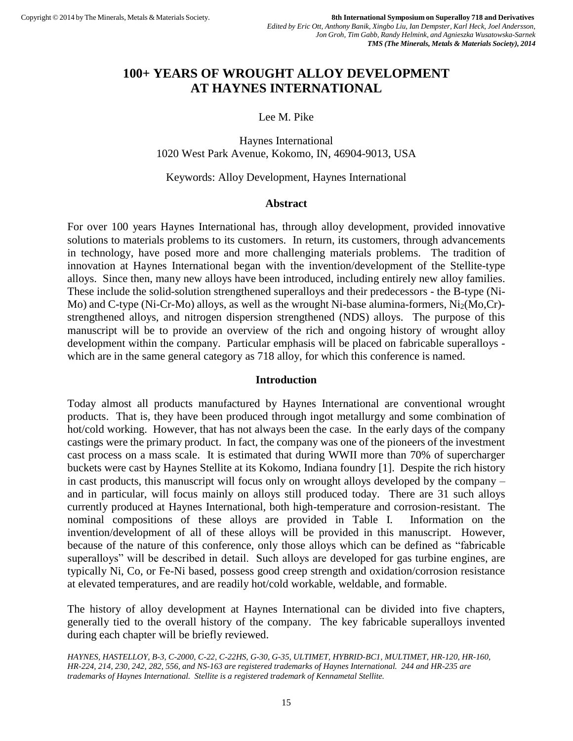# **100+ YEARS OF WROUGHT ALLOY DEVELOPMENT AT HAYNES INTERNATIONAL**

# Lee M. Pike

Haynes International 1020 West Park Avenue, Kokomo, IN, 46904-9013, USA

### Keywords: Alloy Development, Haynes International

## **Abstract**

For over 100 years Haynes International has, through alloy development, provided innovative solutions to materials problems to its customers. In return, its customers, through advancements in technology, have posed more and more challenging materials problems. The tradition of innovation at Haynes International began with the invention/development of the Stellite-type alloys. Since then, many new alloys have been introduced, including entirely new alloy families. These include the solid-solution strengthened superalloys and their predecessors - the B-type (Ni-Mo) and C-type (Ni-Cr-Mo) alloys, as well as the wrought Ni-base alumina-formers,  $Ni<sub>2</sub>(Mo,Cr)$ strengthened alloys, and nitrogen dispersion strengthened (NDS) alloys. The purpose of this manuscript will be to provide an overview of the rich and ongoing history of wrought alloy development within the company. Particular emphasis will be placed on fabricable superalloys which are in the same general category as 718 alloy, for which this conference is named.

# **Introduction**

Today almost all products manufactured by Haynes International are conventional wrought products. That is, they have been produced through ingot metallurgy and some combination of hot/cold working. However, that has not always been the case. In the early days of the company castings were the primary product. In fact, the company was one of the pioneers of the investment cast process on a mass scale. It is estimated that during WWII more than 70% of supercharger buckets were cast by Haynes Stellite at its Kokomo, Indiana foundry [1]. Despite the rich history in cast products, this manuscript will focus only on wrought alloys developed by the company – and in particular, will focus mainly on alloys still produced today. There are 31 such alloys currently produced at Haynes International, both high-temperature and corrosion-resistant. The nominal compositions of these alloys are provided in Table I. Information on the invention/development of all of these alloys will be provided in this manuscript. However, because of the nature of this conference, only those alloys which can be defined as "fabricable superalloys" will be described in detail. Such alloys are developed for gas turbine engines, are typically Ni, Co, or Fe-Ni based, possess good creep strength and oxidation/corrosion resistance at elevated temperatures, and are readily hot/cold workable, weldable, and formable.

The history of alloy development at Haynes International can be divided into five chapters, generally tied to the overall history of the company. The key fabricable superalloys invented during each chapter will be briefly reviewed.

*HAYNES, HASTELLOY, B-3, C-2000, C-22, C-22HS, G-30, G-35, ULTIMET, HYBRID-BC1, MULTIMET, HR-120, HR-160, HR-224, 214, 230, 242, 282, 556, and NS-163 are registered trademarks of Haynes International. 244 and HR-235 are trademarks of Haynes International. Stellite is a registered trademark of Kennametal Stellite.*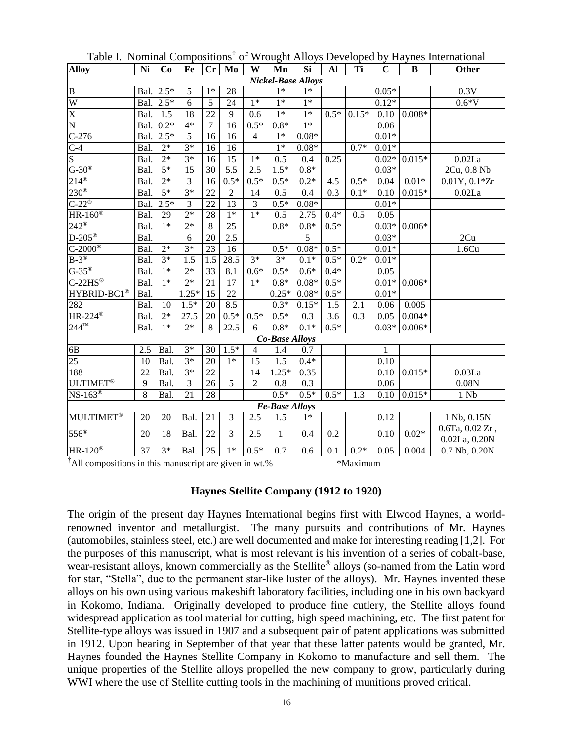| <b>Alloy</b>                    | Ni              | Co              | Fe               | Cr              | Mo                | W                | Mn                    | <b>Si</b> | Al               | Ti      | $\mathbf C$      | B                      | <b>Other</b>         |
|---------------------------------|-----------------|-----------------|------------------|-----------------|-------------------|------------------|-----------------------|-----------|------------------|---------|------------------|------------------------|----------------------|
| <b>Nickel-Base Alloys</b>       |                 |                 |                  |                 |                   |                  |                       |           |                  |         |                  |                        |                      |
| $\overline{B}$                  | Bal.            | $2.5*$          | 5                | $1*$            | 28                |                  | $1*$                  | $1*$      |                  |         | $0.05*$          |                        | 0.3V                 |
| W                               | Bal.            | $2.5*$          | 6                | $\overline{5}$  | 24                | $1*$             | $1*$                  | $1*$      |                  |         | $0.12*$          |                        | $0.6*V$              |
| $\overline{\text{X}}$           | Bal.            | 1.5             | 18               | 22              | 9                 | 0.6              | $1*$                  | $1*$      | $0.5*$           | $0.15*$ | 0.10             | $0.008\ensuremath{^*}$ |                      |
| $\overline{\rm N}$              | Bal.            | $0.2*$          | $4*$             | $\overline{7}$  | 16                | $0.5*$           | $0.8*$                | $1*$      |                  |         | 0.06             |                        |                      |
| $C-276$                         | Bal.            | $2.5*$          | 5                | 16              | 16                | $\overline{4}$   | $1*$                  | $0.08*$   |                  |         | $0.01*$          |                        |                      |
| $C-4$                           | Bal.            | $2*$            | $3*$             | 16              | 16                |                  | $1*$                  | $0.08*$   |                  | $0.7*$  | $0.01*$          |                        |                      |
| $\overline{S}$                  | Bal.            | $2*$            | $3*$             | 16              | 15                | $1*$             | 0.5                   | 0.4       | 0.25             |         | $0.02*$          | $0.015*$               | 0.02La               |
| $G-30^{\circledast}$            | Bal.            | $5*$            | 15               | 30              | 5.5               | 2.5              | $1.5*$                | $0.8*$    |                  |         | $0.03*$          |                        | 2Cu, 0.8 Nb          |
| $214^{\circ}$                   | Bal.            | $2*$            | 3                | 16              | $0.5*$            | $0.5*$           | $0.5*$                | $0.2*$    | 4.5              | $0.5*$  | 0.04             | $0.01\mathrm{*}$       | $0.01Y, 0.1*Zr$      |
| $230^\circ$                     | Bal.            | $\overline{5*}$ | $3*$             | 22              | $\overline{c}$    | 14               | 0.5                   | 0.4       | 0.3              | $0.1*$  | 0.10             | $0.015*$               | 0.02La               |
| $C-22^{\circledR}$              | Bal.            | $2.5*$          | 3                | 22              | $\overline{13}$   | $\mathfrak{Z}$   | $0.5*$                | $0.08*$   |                  |         | $0.01*$          |                        |                      |
| $HR-160^{\circledR}$            | Bal.            | 29              | $2*$             | 28              | $1*$              | $1*$             | 0.5                   | 2.75      | $0.4*$           | 0.5     | 0.05             |                        |                      |
| $242^{\circledR}$               | Bal.            | $1*$            | $2*$             | 8               | 25                |                  | $0.8*$                | $0.8*$    | $0.5*$           |         | $0.03*$          | $0.006*$               |                      |
| $D-20\overline{5}$ <sup>®</sup> | Bal.            |                 | 6                | 20              | 2.5               |                  |                       | 5         |                  |         | $0.03*$          |                        | 2Cu                  |
| $C-2000$ ®                      | Bal.            | $2*$            | $3*$             | 23              | 16                |                  | $0.5*$                | $0.08*$   | $0.5*$           |         | $0.01*$          |                        | 1.6Cu                |
| $B-3^{\circledR}$               | Bal.            | $3*$            | 1.5              | 1.5             | 28.5              | $\overline{3^*}$ | $3*$                  | $0.1*$    | $0.5*$           | $0.2*$  | $0.01\mathrm{*}$ |                        |                      |
| $G-35^\circ$                    | Bal.            | $1*$            | $2*$             | $\overline{33}$ | 8.1               | $0.6*$           | $0.5*$                | $0.6*$    | $0.4*$           |         | 0.05             |                        |                      |
| $C-22HS^{\circledR}$            | Bal.            | $1*$            | $2*$             | 21              | $\overline{17}$   | $1*$             | $0.8*$                | $0.08*$   | $0.5*$           |         | $0.01*$          | $0.006*$               |                      |
| HYBRID-BC1 <sup>®</sup>         | Bal.            |                 | $1.25*$          | $\overline{15}$ | 22                |                  | $0.25*$               | $0.08*$   | $0.5*$           |         | $0.01*$          |                        |                      |
| 282                             | Bal.            | 10              | $1.5*$           | 20              | 8.5               |                  | $\overline{0.3*}$     | $0.15*$   | $\overline{1.5}$ | 2.1     | 0.06             | 0.005                  |                      |
| $HR-224^{\circledR}$            | Bal.            | $2*$            | 27.5             | 20              | $0.5*$            | $0.5*$           | $0.5*$                | 0.3       | 3.6              | 0.3     | 0.05             | $0.004*$               |                      |
| $244^{\mathrm{TM}}$             | Bal.            | $1*$            | $\overline{2^*}$ | 8               | $22.\overline{5}$ | 6                | $0.8*$                | $0.1*$    | $0.5*$           |         | $0.03*$          | $0.006*$               |                      |
|                                 |                 |                 |                  |                 |                   |                  | <b>Co-Base Alloys</b> |           |                  |         |                  |                        |                      |
| 6B                              | 2.5             | Bal.            | $3*$             | 30              | $1.5*$            | 4                | 1.4                   | 0.7       |                  |         | $\mathbf{1}$     |                        |                      |
| $\overline{25}$                 | 10              | Bal.            | $3*$             | 20              | $1*$              | 15               | 1.5                   | $0.4*$    |                  |         | 0.10             |                        |                      |
| 188                             | $\overline{22}$ | Bal.            | $3*$             | $\overline{22}$ |                   | 14               | $1.25*$               | 0.35      |                  |         | 0.10             | $0.015*$               | $\overline{0.03}$ La |
| <b>ULTIMET®</b>                 | 9               | Bal.            | $\overline{3}$   | 26              | $\overline{5}$    | $\overline{2}$   | 0.8                   | 0.3       |                  |         | 0.06             |                        | $0.08N$              |
| NS-163 <sup>®</sup>             | 8               | Bal.            | 21               | 28              |                   |                  | $0.5*$                | $0.5*$    | $0.5*$           | 1.3     | 0.10             | $0.015*$               | 1 Nb                 |
|                                 |                 |                 |                  |                 |                   |                  | <b>Fe-Base Alloys</b> |           |                  |         |                  |                        |                      |
| <b>MULTIMET®</b>                | 20              | 20              | Bal.             | 21              | 3                 | $2.\overline{5}$ | 1.5                   | $1*$      |                  |         | 0.12             |                        | 1 Nb, 0.15N          |
| $556^{\circ}$                   | 20              | 18              | Bal.             | 22              | 3                 | 2.5              | $\mathbf{1}$          | 0.4       | 0.2              |         | 0.10             | $0.02*$                | $0.6$ Ta, $0.02$ Zr, |
|                                 |                 |                 |                  |                 |                   |                  |                       |           |                  |         |                  |                        | 0.02La, 0.20N        |
| $HR-120^{\circledR}$            | 37              | $3*$            | Bal.             | 25              | $1*$              | $0.5*$           | 0.7                   | 0.6       | 0.1              | $0.2*$  | 0.05             | 0.004                  | 0.7 Nb, 0.20N        |

Table I. Nominal Compositions† of Wrought Alloys Developed by Haynes International

<sup>†</sup>All compositions in this manuscript are given in wt.%  $*$ Maximum

**Haynes Stellite Company (1912 to 1920)**

The origin of the present day Haynes International begins first with Elwood Haynes, a worldrenowned inventor and metallurgist. The many pursuits and contributions of Mr. Haynes (automobiles, stainless steel, etc.) are well documented and make for interesting reading [1,2]. For the purposes of this manuscript, what is most relevant is his invention of a series of cobalt-base, wear-resistant alloys, known commercially as the Stellite® alloys (so-named from the Latin word for star, "Stella", due to the permanent star-like luster of the alloys). Mr. Haynes invented these alloys on his own using various makeshift laboratory facilities, including one in his own backyard in Kokomo, Indiana. Originally developed to produce fine cutlery, the Stellite alloys found widespread application as tool material for cutting, high speed machining, etc. The first patent for Stellite-type alloys was issued in 1907 and a subsequent pair of patent applications was submitted in 1912. Upon hearing in September of that year that these latter patents would be granted, Mr. Haynes founded the Haynes Stellite Company in Kokomo to manufacture and sell them. The unique properties of the Stellite alloys propelled the new company to grow, particularly during WWI where the use of Stellite cutting tools in the machining of munitions proved critical.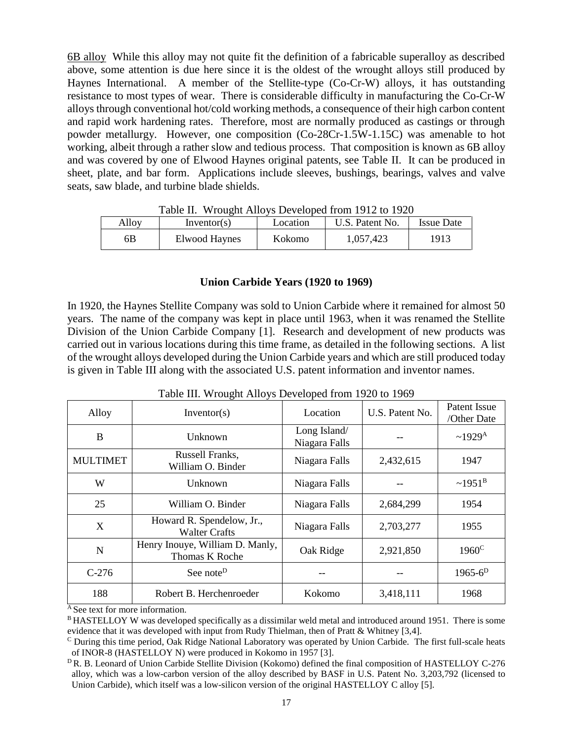6B alloy While this alloy may not quite fit the definition of a fabricable superalloy as described above, some attention is due here since it is the oldest of the wrought alloys still produced by Haynes International. A member of the Stellite-type (Co-Cr-W) alloys, it has outstanding resistance to most types of wear. There is considerable difficulty in manufacturing the Co-Cr-W alloys through conventional hot/cold working methods, a consequence of their high carbon content and rapid work hardening rates. Therefore, most are normally produced as castings or through powder metallurgy. However, one composition (Co-28Cr-1.5W-1.15C) was amenable to hot working, albeit through a rather slow and tedious process. That composition is known as 6B alloy and was covered by one of Elwood Haynes original patents, see Table II. It can be produced in sheet, plate, and bar form. Applications include sleeves, bushings, bearings, valves and valve seats, saw blade, and turbine blade shields.

| Table II. Wrought Alloys Developed from 1912 to 1920 |                 |          |                 |                   |  |  |  |
|------------------------------------------------------|-----------------|----------|-----------------|-------------------|--|--|--|
| Alloy                                                | Inventor( $s$ ) | Location | U.S. Patent No. | <b>Issue Date</b> |  |  |  |
| 6B                                                   | Elwood Haynes   | Kokomo   | 1.057.423       | 1913              |  |  |  |

Table II. Wrought Alloys Developed from 1912 to 1920

#### **Union Carbide Years (1920 to 1969)**

In 1920, the Haynes Stellite Company was sold to Union Carbide where it remained for almost 50 years. The name of the company was kept in place until 1963, when it was renamed the Stellite Division of the Union Carbide Company [1]. Research and development of new products was carried out in various locations during this time frame, as detailed in the following sections. A list of the wrought alloys developed during the Union Carbide years and which are still produced today is given in Table III along with the associated U.S. patent information and inventor names.

| Alloy           | O<br>Inventor(s)                                  | Location                      | U.S. Patent No. | Patent Issue<br>/Other Date |
|-----------------|---------------------------------------------------|-------------------------------|-----------------|-----------------------------|
| B               | Unknown                                           | Long Island/<br>Niagara Falls |                 | $~1929^{\rm A}$             |
| <b>MULTIMET</b> | Russell Franks,<br>William O. Binder              | Niagara Falls                 | 2,432,615       | 1947                        |
| W               | Unknown                                           | Niagara Falls                 |                 | $~1951^{\rm B}$             |
| 25              | William O. Binder                                 | Niagara Falls                 | 2,684,299       | 1954                        |
| X               | Howard R. Spendelow, Jr.,<br><b>Walter Crafts</b> | Niagara Falls                 | 2,703,277       | 1955                        |
| N               | Henry Inouye, William D. Manly,<br>Thomas K Roche | Oak Ridge                     | 2,921,850       | $1960^{\circ}$              |
| $C-276$         | See note <sup>D</sup>                             |                               |                 | $1965 - 6^D$                |
| 188             | Robert B. Herchenroeder                           | Kokomo                        | 3,418,111       | 1968                        |

Table III. Wrought Alloys Developed from 1920 to 1969

 $A$  See text for more information.

<sup>&</sup>lt;sup>B</sup> HASTELLOY W was developed specifically as a dissimilar weld metal and introduced around 1951. There is some evidence that it was developed with input from Rudy Thielman, then of Pratt & Whitney [3,4].

<sup>C</sup> During this time period, Oak Ridge National Laboratory was operated by Union Carbide. The first full-scale heats of INOR-8 (HASTELLOY N) were produced in Kokomo in 1957 [3].

<sup>&</sup>lt;sup>D</sup>R. B. Leonard of Union Carbide Stellite Division (Kokomo) defined the final composition of HASTELLOY C-276 alloy, which was a low-carbon version of the alloy described by BASF in U.S. Patent No. 3,203,792 (licensed to Union Carbide), which itself was a low-silicon version of the original HASTELLOY C alloy [5].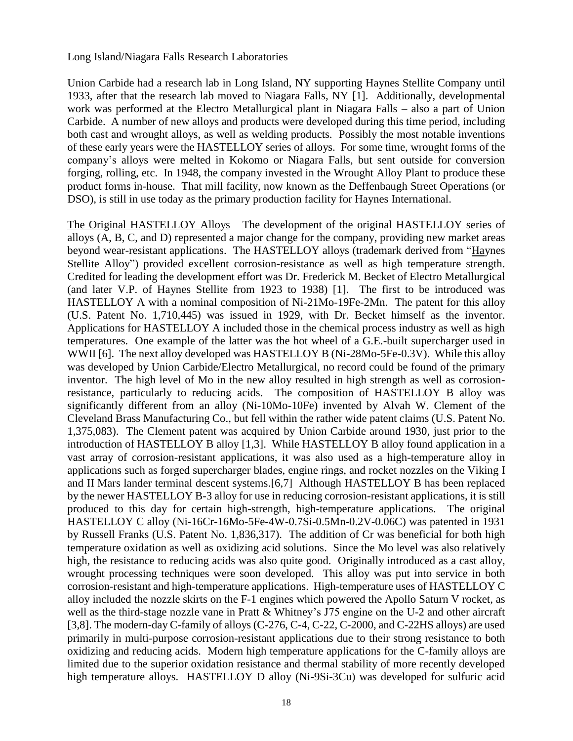## Long Island/Niagara Falls Research Laboratories

Union Carbide had a research lab in Long Island, NY supporting Haynes Stellite Company until 1933, after that the research lab moved to Niagara Falls, NY [1]. Additionally, developmental work was performed at the Electro Metallurgical plant in Niagara Falls – also a part of Union Carbide. A number of new alloys and products were developed during this time period, including both cast and wrought alloys, as well as welding products. Possibly the most notable inventions of these early years were the HASTELLOY series of alloys. For some time, wrought forms of the company's alloys were melted in Kokomo or Niagara Falls, but sent outside for conversion forging, rolling, etc. In 1948, the company invested in the Wrought Alloy Plant to produce these product forms in-house. That mill facility, now known as the Deffenbaugh Street Operations (or DSO), is still in use today as the primary production facility for Haynes International.

The Original HASTELLOY Alloys The development of the original HASTELLOY series of alloys (A, B, C, and D) represented a major change for the company, providing new market areas beyond wear-resistant applications. The HASTELLOY alloys (trademark derived from "Haynes Stellite Alloy") provided excellent corrosion-resistance as well as high temperature strength. Credited for leading the development effort was Dr. Frederick M. Becket of Electro Metallurgical (and later V.P. of Haynes Stellite from 1923 to 1938) [1]. The first to be introduced was HASTELLOY A with a nominal composition of Ni-21Mo-19Fe-2Mn. The patent for this alloy (U.S. Patent No. 1,710,445) was issued in 1929, with Dr. Becket himself as the inventor. Applications for HASTELLOY A included those in the chemical process industry as well as high temperatures. One example of the latter was the hot wheel of a G.E.-built supercharger used in WWII [6]. The next alloy developed was HASTELLOY B (Ni-28Mo-5Fe-0.3V). While this alloy was developed by Union Carbide/Electro Metallurgical, no record could be found of the primary inventor. The high level of Mo in the new alloy resulted in high strength as well as corrosionresistance, particularly to reducing acids. The composition of HASTELLOY B alloy was significantly different from an alloy (Ni-10Mo-10Fe) invented by Alvah W. Clement of the Cleveland Brass Manufacturing Co., but fell within the rather wide patent claims (U.S. Patent No. 1,375,083). The Clement patent was acquired by Union Carbide around 1930, just prior to the introduction of HASTELLOY B alloy [1,3]. While HASTELLOY B alloy found application in a vast array of corrosion-resistant applications, it was also used as a high-temperature alloy in applications such as forged supercharger blades, engine rings, and rocket nozzles on the Viking I and II Mars lander terminal descent systems.[6,7] Although HASTELLOY B has been replaced by the newer HASTELLOY B-3 alloy for use in reducing corrosion-resistant applications, it is still produced to this day for certain high-strength, high-temperature applications. The original HASTELLOY C alloy (Ni-16Cr-16Mo-5Fe-4W-0.7Si-0.5Mn-0.2V-0.06C) was patented in 1931 by Russell Franks (U.S. Patent No. 1,836,317). The addition of Cr was beneficial for both high temperature oxidation as well as oxidizing acid solutions. Since the Mo level was also relatively high, the resistance to reducing acids was also quite good. Originally introduced as a cast alloy, wrought processing techniques were soon developed. This alloy was put into service in both corrosion-resistant and high-temperature applications. High-temperature uses of HASTELLOY C alloy included the nozzle skirts on the F-1 engines which powered the Apollo Saturn V rocket, as well as the third-stage nozzle vane in Pratt & Whitney's J75 engine on the U-2 and other aircraft [3,8]. The modern-day C-family of alloys (C-276, C-4, C-22, C-2000, and C-22HS alloys) are used primarily in multi-purpose corrosion-resistant applications due to their strong resistance to both oxidizing and reducing acids. Modern high temperature applications for the C-family alloys are limited due to the superior oxidation resistance and thermal stability of more recently developed high temperature alloys. HASTELLOY D alloy (Ni-9Si-3Cu) was developed for sulfuric acid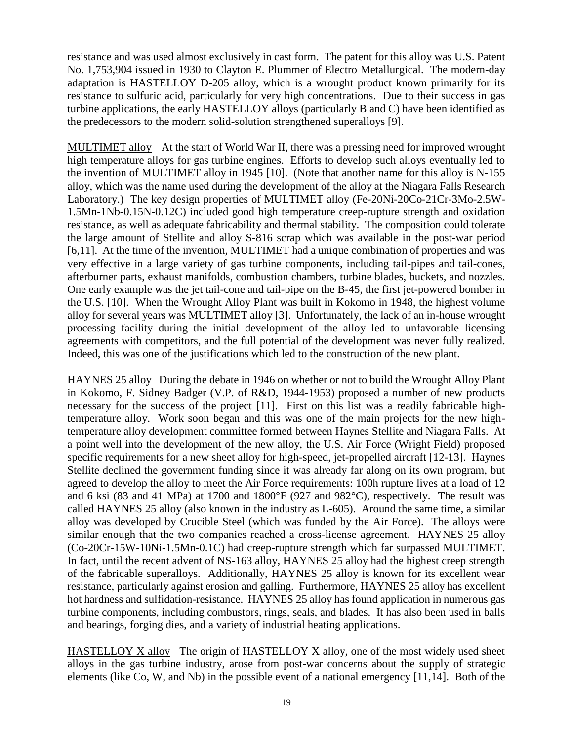resistance and was used almost exclusively in cast form. The patent for this alloy was U.S. Patent No. 1,753,904 issued in 1930 to Clayton E. Plummer of Electro Metallurgical. The modern-day adaptation is HASTELLOY D-205 alloy, which is a wrought product known primarily for its resistance to sulfuric acid, particularly for very high concentrations. Due to their success in gas turbine applications, the early HASTELLOY alloys (particularly B and C) have been identified as the predecessors to the modern solid-solution strengthened superalloys [9].

MULTIMET alloy At the start of World War II, there was a pressing need for improved wrought high temperature alloys for gas turbine engines. Efforts to develop such alloys eventually led to the invention of MULTIMET alloy in 1945 [10]. (Note that another name for this alloy is N-155 alloy, which was the name used during the development of the alloy at the Niagara Falls Research Laboratory.) The key design properties of MULTIMET alloy (Fe-20Ni-20Co-21Cr-3Mo-2.5W-1.5Mn-1Nb-0.15N-0.12C) included good high temperature creep-rupture strength and oxidation resistance, as well as adequate fabricability and thermal stability. The composition could tolerate the large amount of Stellite and alloy S-816 scrap which was available in the post-war period [6,11]. At the time of the invention, MULTIMET had a unique combination of properties and was very effective in a large variety of gas turbine components, including tail-pipes and tail-cones, afterburner parts, exhaust manifolds, combustion chambers, turbine blades, buckets, and nozzles. One early example was the jet tail-cone and tail-pipe on the B-45, the first jet-powered bomber in the U.S. [10]. When the Wrought Alloy Plant was built in Kokomo in 1948, the highest volume alloy for several years was MULTIMET alloy [3]. Unfortunately, the lack of an in-house wrought processing facility during the initial development of the alloy led to unfavorable licensing agreements with competitors, and the full potential of the development was never fully realized. Indeed, this was one of the justifications which led to the construction of the new plant.

HAYNES 25 alloy During the debate in 1946 on whether or not to build the Wrought Alloy Plant in Kokomo, F. Sidney Badger (V.P. of R&D, 1944-1953) proposed a number of new products necessary for the success of the project [11]. First on this list was a readily fabricable hightemperature alloy. Work soon began and this was one of the main projects for the new hightemperature alloy development committee formed between Haynes Stellite and Niagara Falls. At a point well into the development of the new alloy, the U.S. Air Force (Wright Field) proposed specific requirements for a new sheet alloy for high-speed, jet-propelled aircraft [12-13]. Haynes Stellite declined the government funding since it was already far along on its own program, but agreed to develop the alloy to meet the Air Force requirements: 100h rupture lives at a load of 12 and 6 ksi (83 and 41 MPa) at 1700 and 1800°F (927 and 982°C), respectively. The result was called HAYNES 25 alloy (also known in the industry as L-605). Around the same time, a similar alloy was developed by Crucible Steel (which was funded by the Air Force). The alloys were similar enough that the two companies reached a cross-license agreement. HAYNES 25 alloy (Co-20Cr-15W-10Ni-1.5Mn-0.1C) had creep-rupture strength which far surpassed MULTIMET. In fact, until the recent advent of NS-163 alloy, HAYNES 25 alloy had the highest creep strength of the fabricable superalloys. Additionally, HAYNES 25 alloy is known for its excellent wear resistance, particularly against erosion and galling. Furthermore, HAYNES 25 alloy has excellent hot hardness and sulfidation-resistance. HAYNES 25 alloy has found application in numerous gas turbine components, including combustors, rings, seals, and blades. It has also been used in balls and bearings, forging dies, and a variety of industrial heating applications.

HASTELLOY X alloy The origin of HASTELLOY X alloy, one of the most widely used sheet alloys in the gas turbine industry, arose from post-war concerns about the supply of strategic elements (like Co, W, and Nb) in the possible event of a national emergency [11,14]. Both of the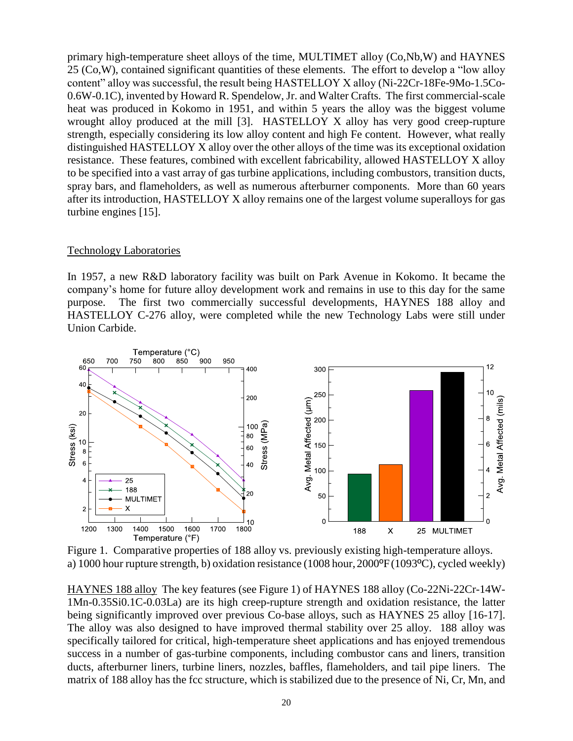primary high-temperature sheet alloys of the time, MULTIMET alloy (Co,Nb,W) and HAYNES 25 (Co,W), contained significant quantities of these elements. The effort to develop a "low alloy content" alloy was successful, the result being HASTELLOY X alloy (Ni-22Cr-18Fe-9Mo-1.5Co-0.6W-0.1C), invented by Howard R. Spendelow, Jr. and Walter Crafts. The first commercial-scale heat was produced in Kokomo in 1951, and within 5 years the alloy was the biggest volume wrought alloy produced at the mill [3]. HASTELLOY X alloy has very good creep-rupture strength, especially considering its low alloy content and high Fe content. However, what really distinguished HASTELLOY X alloy over the other alloys of the time was its exceptional oxidation resistance. These features, combined with excellent fabricability, allowed HASTELLOY X alloy to be specified into a vast array of gas turbine applications, including combustors, transition ducts, spray bars, and flameholders, as well as numerous afterburner components. More than 60 years after its introduction, HASTELLOY X alloy remains one of the largest volume superalloys for gas turbine engines [15].

# Technology Laboratories

In 1957, a new R&D laboratory facility was built on Park Avenue in Kokomo. It became the company's home for future alloy development work and remains in use to this day for the same purpose. The first two commercially successful developments, HAYNES 188 alloy and HASTELLOY C-276 alloy, were completed while the new Technology Labs were still under Union Carbide.



Figure 1. Comparative properties of 188 alloy vs. previously existing high-temperature alloys. a) 1000 hour rupture strength, b) oxidation resistance (1008 hour, 2000ºF(1093ºC), cycled weekly)

HAYNES 188 alloy The key features (see Figure 1) of HAYNES 188 alloy (Co-22Ni-22Cr-14W-1Mn-0.35Si0.1C-0.03La) are its high creep-rupture strength and oxidation resistance, the latter being significantly improved over previous Co-base alloys, such as HAYNES 25 alloy [16-17]. The alloy was also designed to have improved thermal stability over 25 alloy. 188 alloy was specifically tailored for critical, high-temperature sheet applications and has enjoyed tremendous success in a number of gas-turbine components, including combustor cans and liners, transition ducts, afterburner liners, turbine liners, nozzles, baffles, flameholders, and tail pipe liners. The matrix of 188 alloy has the fcc structure, which is stabilized due to the presence of Ni, Cr, Mn, and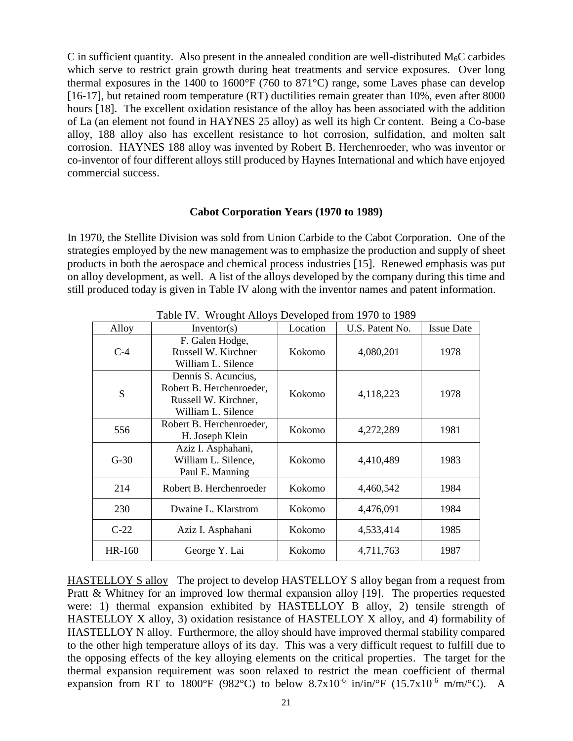C in sufficient quantity. Also present in the annealed condition are well-distributed  $M_6C$  carbides which serve to restrict grain growth during heat treatments and service exposures. Over long thermal exposures in the 1400 to 1600°F (760 to 871°C) range, some Laves phase can develop [16-17], but retained room temperature (RT) ductilities remain greater than 10%, even after 8000 hours [18]. The excellent oxidation resistance of the alloy has been associated with the addition of La (an element not found in HAYNES 25 alloy) as well its high Cr content. Being a Co-base alloy, 188 alloy also has excellent resistance to hot corrosion, sulfidation, and molten salt corrosion. HAYNES 188 alloy was invented by Robert B. Herchenroeder, who was inventor or co-inventor of four different alloys still produced by Haynes International and which have enjoyed commercial success.

#### **Cabot Corporation Years (1970 to 1989)**

In 1970, the Stellite Division was sold from Union Carbide to the Cabot Corporation. One of the strategies employed by the new management was to emphasize the production and supply of sheet products in both the aerospace and chemical process industries [15]. Renewed emphasis was put on alloy development, as well. A list of the alloys developed by the company during this time and still produced today is given in Table IV along with the inventor names and patent information.

| Alloy         | Inventor(s)                                                                                   | Location | U.S. Patent No. | <b>Issue Date</b> |
|---------------|-----------------------------------------------------------------------------------------------|----------|-----------------|-------------------|
| $C-4$         | F. Galen Hodge,<br>Russell W. Kirchner<br>William L. Silence                                  | Kokomo   | 4,080,201       | 1978              |
| S             | Dennis S. Acuncius,<br>Robert B. Herchenroeder,<br>Russell W. Kirchner,<br>William L. Silence | Kokomo   | 4,118,223       | 1978              |
| 556           | Robert B. Herchenroeder,<br>H. Joseph Klein                                                   | Kokomo   | 4,272,289       | 1981              |
| $G-30$        | Aziz I. Asphahani,<br>William L. Silence,<br>Paul E. Manning                                  | Kokomo   | 4,410,489       | 1983              |
| 214           | Robert B. Herchenroeder                                                                       | Kokomo   | 4,460,542       | 1984              |
| 230           | Dwaine L. Klarstrom                                                                           | Kokomo   | 4,476,091       | 1984              |
| $C-22$        | Aziz I. Asphahani                                                                             | Kokomo   | 4,533,414       | 1985              |
| <b>HR-160</b> | George Y. Lai                                                                                 | Kokomo   | 4,711,763       | 1987              |

Table IV. Wrought Alloys Developed from 1970 to 1989

HASTELLOY S alloy The project to develop HASTELLOY S alloy began from a request from Pratt & Whitney for an improved low thermal expansion alloy [19]. The properties requested were: 1) thermal expansion exhibited by HASTELLOY B alloy, 2) tensile strength of HASTELLOY X alloy, 3) oxidation resistance of HASTELLOY X alloy, and 4) formability of HASTELLOY N alloy. Furthermore, the alloy should have improved thermal stability compared to the other high temperature alloys of its day. This was a very difficult request to fulfill due to the opposing effects of the key alloying elements on the critical properties. The target for the thermal expansion requirement was soon relaxed to restrict the mean coefficient of thermal expansion from RT to 1800°F (982°C) to below 8.7x10<sup>-6</sup> in/in/°F (15.7x10<sup>-6</sup> m/m/°C). A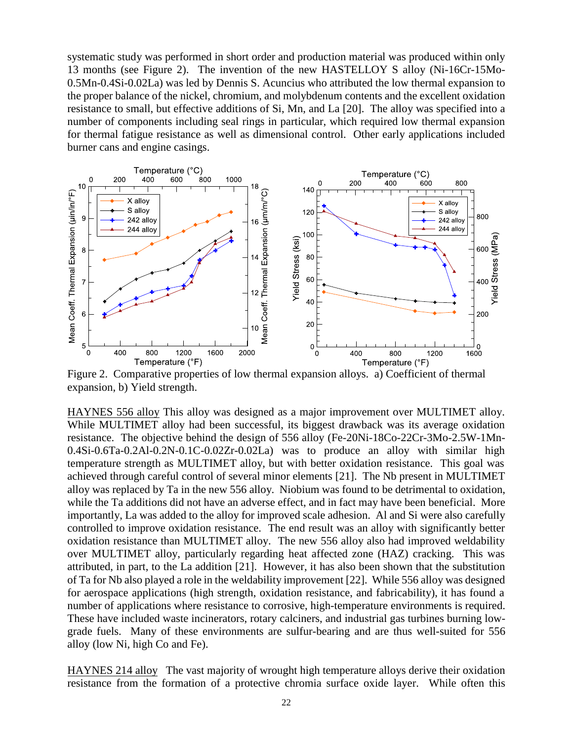systematic study was performed in short order and production material was produced within only 13 months (see Figure 2). The invention of the new HASTELLOY S alloy (Ni-16Cr-15Mo-0.5Mn-0.4Si-0.02La) was led by Dennis S. Acuncius who attributed the low thermal expansion to the proper balance of the nickel, chromium, and molybdenum contents and the excellent oxidation resistance to small, but effective additions of Si, Mn, and La [20]. The alloy was specified into a number of components including seal rings in particular, which required low thermal expansion for thermal fatigue resistance as well as dimensional control. Other early applications included burner cans and engine casings.



Figure 2. Comparative properties of low thermal expansion alloys. a) Coefficient of thermal expansion, b) Yield strength.

HAYNES 556 alloy This alloy was designed as a major improvement over MULTIMET alloy. While MULTIMET alloy had been successful, its biggest drawback was its average oxidation resistance. The objective behind the design of 556 alloy (Fe-20Ni-18Co-22Cr-3Mo-2.5W-1Mn-0.4Si-0.6Ta-0.2Al-0.2N-0.1C-0.02Zr-0.02La) was to produce an alloy with similar high temperature strength as MULTIMET alloy, but with better oxidation resistance. This goal was achieved through careful control of several minor elements [21]. The Nb present in MULTIMET alloy was replaced by Ta in the new 556 alloy. Niobium was found to be detrimental to oxidation, while the Ta additions did not have an adverse effect, and in fact may have been beneficial. More importantly, La was added to the alloy for improved scale adhesion. Al and Si were also carefully controlled to improve oxidation resistance. The end result was an alloy with significantly better oxidation resistance than MULTIMET alloy. The new 556 alloy also had improved weldability over MULTIMET alloy, particularly regarding heat affected zone (HAZ) cracking. This was attributed, in part, to the La addition [21]. However, it has also been shown that the substitution of Ta for Nb also played a role in the weldability improvement [22]. While 556 alloy was designed for aerospace applications (high strength, oxidation resistance, and fabricability), it has found a number of applications where resistance to corrosive, high-temperature environments is required. These have included waste incinerators, rotary calciners, and industrial gas turbines burning lowgrade fuels. Many of these environments are sulfur-bearing and are thus well-suited for 556 alloy (low Ni, high Co and Fe).

HAYNES 214 alloy The vast majority of wrought high temperature alloys derive their oxidation resistance from the formation of a protective chromia surface oxide layer. While often this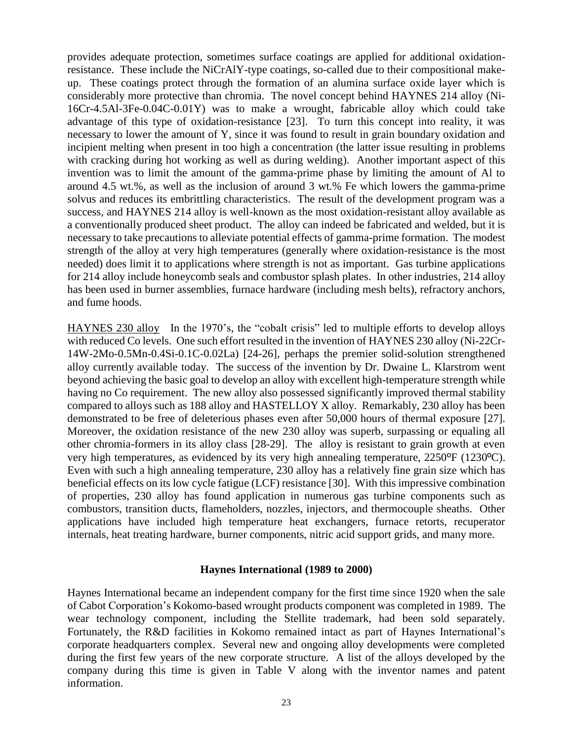provides adequate protection, sometimes surface coatings are applied for additional oxidationresistance. These include the NiCrAlY-type coatings, so-called due to their compositional makeup. These coatings protect through the formation of an alumina surface oxide layer which is considerably more protective than chromia. The novel concept behind HAYNES 214 alloy (Ni-16Cr-4.5Al-3Fe-0.04C-0.01Y) was to make a wrought, fabricable alloy which could take advantage of this type of oxidation-resistance [23]. To turn this concept into reality, it was necessary to lower the amount of Y, since it was found to result in grain boundary oxidation and incipient melting when present in too high a concentration (the latter issue resulting in problems with cracking during hot working as well as during welding). Another important aspect of this invention was to limit the amount of the gamma-prime phase by limiting the amount of Al to around 4.5 wt.%, as well as the inclusion of around 3 wt.% Fe which lowers the gamma-prime solvus and reduces its embrittling characteristics. The result of the development program was a success, and HAYNES 214 alloy is well-known as the most oxidation-resistant alloy available as a conventionally produced sheet product. The alloy can indeed be fabricated and welded, but it is necessary to take precautions to alleviate potential effects of gamma-prime formation. The modest strength of the alloy at very high temperatures (generally where oxidation-resistance is the most needed) does limit it to applications where strength is not as important. Gas turbine applications for 214 alloy include honeycomb seals and combustor splash plates. In other industries, 214 alloy has been used in burner assemblies, furnace hardware (including mesh belts), refractory anchors, and fume hoods.

HAYNES 230 alloy In the 1970's, the "cobalt crisis" led to multiple efforts to develop alloys with reduced Co levels. One such effort resulted in the invention of HAYNES 230 alloy (Ni-22Cr-14W-2Mo-0.5Mn-0.4Si-0.1C-0.02La) [24-26], perhaps the premier solid-solution strengthened alloy currently available today. The success of the invention by Dr. Dwaine L. Klarstrom went beyond achieving the basic goal to develop an alloy with excellent high-temperature strength while having no Co requirement. The new alloy also possessed significantly improved thermal stability compared to alloys such as 188 alloy and HASTELLOY X alloy. Remarkably, 230 alloy has been demonstrated to be free of deleterious phases even after 50,000 hours of thermal exposure [27]. Moreover, the oxidation resistance of the new 230 alloy was superb, surpassing or equaling all other chromia-formers in its alloy class [28-29]. The alloy is resistant to grain growth at even very high temperatures, as evidenced by its very high annealing temperature, 2250ºF (1230ºC). Even with such a high annealing temperature, 230 alloy has a relatively fine grain size which has beneficial effects on its low cycle fatigue (LCF) resistance [30]. With this impressive combination of properties, 230 alloy has found application in numerous gas turbine components such as combustors, transition ducts, flameholders, nozzles, injectors, and thermocouple sheaths. Other applications have included high temperature heat exchangers, furnace retorts, recuperator internals, heat treating hardware, burner components, nitric acid support grids, and many more.

# **Haynes International (1989 to 2000)**

Haynes International became an independent company for the first time since 1920 when the sale of Cabot Corporation's Kokomo-based wrought products component was completed in 1989. The wear technology component, including the Stellite trademark, had been sold separately. Fortunately, the R&D facilities in Kokomo remained intact as part of Haynes International's corporate headquarters complex. Several new and ongoing alloy developments were completed during the first few years of the new corporate structure. A list of the alloys developed by the company during this time is given in Table V along with the inventor names and patent information.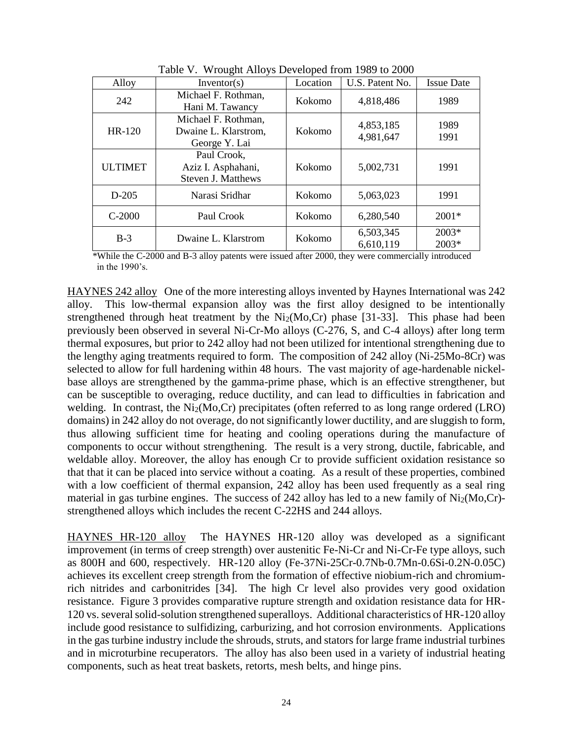| Alloy          | Inventor(s)                                                    | Location | U.S. Patent No.        | <b>Issue Date</b> |
|----------------|----------------------------------------------------------------|----------|------------------------|-------------------|
| 242            | Michael F. Rothman,<br>Hani M. Tawancy                         | Kokomo   | 4,818,486              | 1989              |
| <b>HR-120</b>  | Michael F. Rothman,<br>Dwaine L. Klarstrom,<br>George Y. Lai   | Kokomo   | 4,853,185<br>4,981,647 | 1989<br>1991      |
| <b>ULTIMET</b> | Paul Crook,<br>Aziz I. Asphahani,<br><b>Steven J. Matthews</b> | Kokomo   | 5,002,731              | 1991              |
| $D-205$        | Narasi Sridhar                                                 | Kokomo   | 5,063,023              | 1991              |
| $C-2000$       | Paul Crook                                                     | Kokomo   | 6,280,540              | $2001*$           |
| $B-3$          | Dwaine L. Klarstrom                                            | Kokomo   | 6,503,345<br>6,610,119 | 2003*<br>2003*    |

Table V. Wrought Alloys Developed from 1989 to 2000

\*While the C-2000 and B-3 alloy patents were issued after 2000, they were commercially introduced in the 1990's.

HAYNES 242 alloy One of the more interesting alloys invented by Haynes International was 242 alloy. This low-thermal expansion alloy was the first alloy designed to be intentionally strengthened through heat treatment by the  $Ni<sub>2</sub>(Mo,Cr)$  phase [31-33]. This phase had been previously been observed in several Ni-Cr-Mo alloys (C-276, S, and C-4 alloys) after long term thermal exposures, but prior to 242 alloy had not been utilized for intentional strengthening due to the lengthy aging treatments required to form. The composition of 242 alloy (Ni-25Mo-8Cr) was selected to allow for full hardening within 48 hours. The vast majority of age-hardenable nickelbase alloys are strengthened by the gamma-prime phase, which is an effective strengthener, but can be susceptible to overaging, reduce ductility, and can lead to difficulties in fabrication and welding. In contrast, the  $Ni<sub>2</sub>(Mo,Cr)$  precipitates (often referred to as long range ordered (LRO) domains) in 242 alloy do not overage, do not significantly lower ductility, and are sluggish to form, thus allowing sufficient time for heating and cooling operations during the manufacture of components to occur without strengthening. The result is a very strong, ductile, fabricable, and weldable alloy. Moreover, the alloy has enough Cr to provide sufficient oxidation resistance so that that it can be placed into service without a coating. As a result of these properties, combined with a low coefficient of thermal expansion, 242 alloy has been used frequently as a seal ring material in gas turbine engines. The success of 242 alloy has led to a new family of  $Ni<sub>2</sub>(Mo,Cr)$ strengthened alloys which includes the recent C-22HS and 244 alloys.

HAYNES HR-120 alloy The HAYNES HR-120 alloy was developed as a significant improvement (in terms of creep strength) over austenitic Fe-Ni-Cr and Ni-Cr-Fe type alloys, such as 800H and 600, respectively. HR-120 alloy (Fe-37Ni-25Cr-0.7Nb-0.7Mn-0.6Si-0.2N-0.05C) achieves its excellent creep strength from the formation of effective niobium-rich and chromiumrich nitrides and carbonitrides [34]. The high Cr level also provides very good oxidation resistance. Figure 3 provides comparative rupture strength and oxidation resistance data for HR-120 vs. several solid-solution strengthened superalloys. Additional characteristics of HR-120 alloy include good resistance to sulfidizing, carburizing, and hot corrosion environments. Applications in the gas turbine industry include the shrouds, struts, and stators for large frame industrial turbines and in microturbine recuperators. The alloy has also been used in a variety of industrial heating components, such as heat treat baskets, retorts, mesh belts, and hinge pins.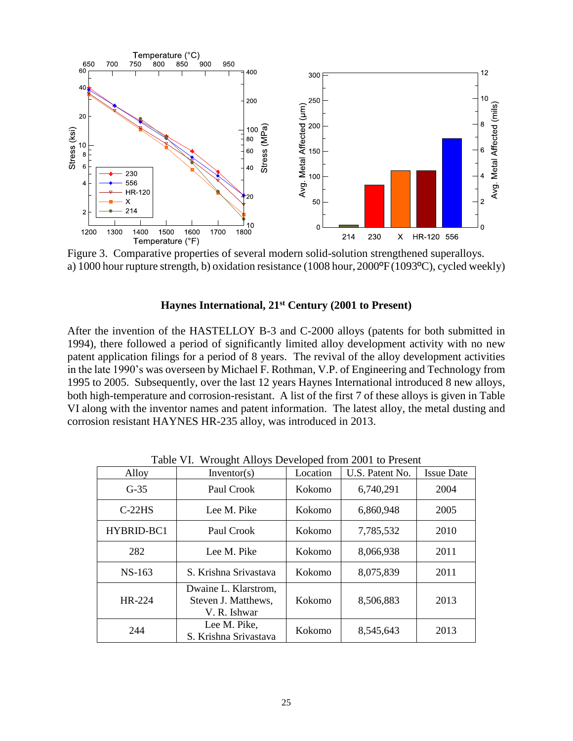

Figure 3. Comparative properties of several modern solid-solution strengthened superalloys. a) 1000 hour rupture strength, b) oxidation resistance (1008 hour, 2000ºF(1093ºC), cycled weekly)

### **Haynes International, 21st Century (2001 to Present)**

After the invention of the HASTELLOY B-3 and C-2000 alloys (patents for both submitted in 1994), there followed a period of significantly limited alloy development activity with no new patent application filings for a period of 8 years. The revival of the alloy development activities in the late 1990's was overseen by Michael F. Rothman, V.P. of Engineering and Technology from 1995 to 2005. Subsequently, over the last 12 years Haynes International introduced 8 new alloys, both high-temperature and corrosion-resistant. A list of the first 7 of these alloys is given in Table VI along with the inventor names and patent information. The latest alloy, the metal dusting and corrosion resistant HAYNES HR-235 alloy, was introduced in 2013.

| Alloy             | Inventor(s)                                                 | Location | U.S. Patent No. | <b>Issue Date</b> |
|-------------------|-------------------------------------------------------------|----------|-----------------|-------------------|
| $G-35$            | Paul Crook                                                  | Kokomo   | 6,740,291       | 2004              |
| $C-22HS$          | Lee M. Pike                                                 | Kokomo   | 6,860,948       | 2005              |
| <b>HYBRID-BC1</b> | Paul Crook                                                  | Kokomo   | 7,785,532       | 2010              |
| 282               | Lee M. Pike                                                 | Kokomo   | 8,066,938       | 2011              |
| $NS-163$          | S. Krishna Srivastava                                       | Kokomo   | 8,075,839       | 2011              |
| $HR-224$          | Dwaine L. Klarstrom,<br>Steven J. Matthews,<br>V. R. Ishwar | Kokomo   | 8,506,883       | 2013              |
| 244               | Lee M. Pike.<br>S. Krishna Srivastava                       | Kokomo   | 8,545,643       | 2013              |

Table VI. Wrought Alloys Developed from 2001 to Present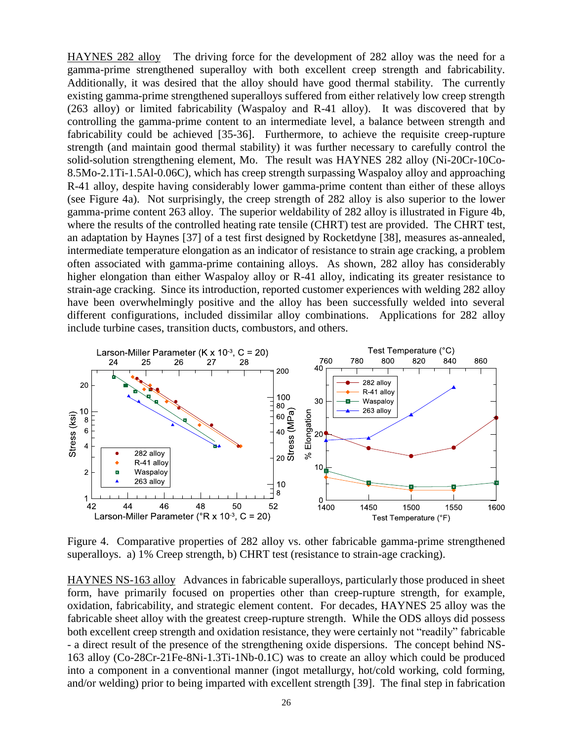HAYNES 282 alloy The driving force for the development of 282 alloy was the need for a gamma-prime strengthened superalloy with both excellent creep strength and fabricability. Additionally, it was desired that the alloy should have good thermal stability. The currently existing gamma-prime strengthened superalloys suffered from either relatively low creep strength (263 alloy) or limited fabricability (Waspaloy and R-41 alloy). It was discovered that by controlling the gamma-prime content to an intermediate level, a balance between strength and fabricability could be achieved [35-36]. Furthermore, to achieve the requisite creep-rupture strength (and maintain good thermal stability) it was further necessary to carefully control the solid-solution strengthening element, Mo. The result was HAYNES 282 alloy (Ni-20Cr-10Co-8.5Mo-2.1Ti-1.5Al-0.06C), which has creep strength surpassing Waspaloy alloy and approaching R-41 alloy, despite having considerably lower gamma-prime content than either of these alloys (see Figure 4a). Not surprisingly, the creep strength of 282 alloy is also superior to the lower gamma-prime content 263 alloy. The superior weldability of 282 alloy is illustrated in Figure 4b, where the results of the controlled heating rate tensile (CHRT) test are provided. The CHRT test, an adaptation by Haynes [37] of a test first designed by Rocketdyne [38], measures as-annealed, intermediate temperature elongation as an indicator of resistance to strain age cracking, a problem often associated with gamma-prime containing alloys. As shown, 282 alloy has considerably higher elongation than either Waspaloy alloy or R-41 alloy, indicating its greater resistance to strain-age cracking. Since its introduction, reported customer experiences with welding 282 alloy have been overwhelmingly positive and the alloy has been successfully welded into several different configurations, included dissimilar alloy combinations. Applications for 282 alloy include turbine cases, transition ducts, combustors, and others.



Figure 4. Comparative properties of 282 alloy vs. other fabricable gamma-prime strengthened superalloys. a) 1% Creep strength, b) CHRT test (resistance to strain-age cracking).

HAYNES NS-163 alloy Advances in fabricable superalloys, particularly those produced in sheet form, have primarily focused on properties other than creep-rupture strength, for example, oxidation, fabricability, and strategic element content. For decades, HAYNES 25 alloy was the fabricable sheet alloy with the greatest creep-rupture strength. While the ODS alloys did possess both excellent creep strength and oxidation resistance, they were certainly not "readily" fabricable - a direct result of the presence of the strengthening oxide dispersions. The concept behind NS-163 alloy (Co-28Cr-21Fe-8Ni-1.3Ti-1Nb-0.1C) was to create an alloy which could be produced into a component in a conventional manner (ingot metallurgy, hot/cold working, cold forming, and/or welding) prior to being imparted with excellent strength [39]. The final step in fabrication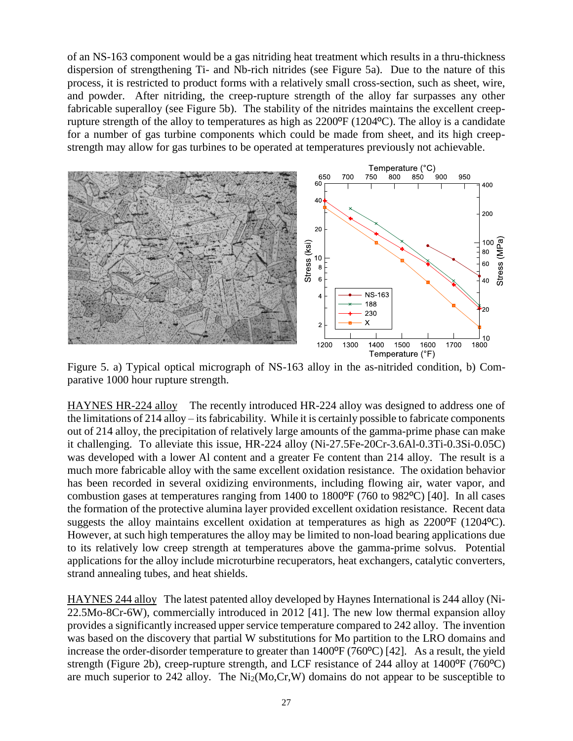of an NS-163 component would be a gas nitriding heat treatment which results in a thru-thickness dispersion of strengthening Ti- and Nb-rich nitrides (see Figure 5a). Due to the nature of this process, it is restricted to product forms with a relatively small cross-section, such as sheet, wire, and powder. After nitriding, the creep-rupture strength of the alloy far surpasses any other fabricable superalloy (see Figure 5b). The stability of the nitrides maintains the excellent creeprupture strength of the alloy to temperatures as high as  $2200^{\circ}F (1204^{\circ}C)$ . The alloy is a candidate for a number of gas turbine components which could be made from sheet, and its high creepstrength may allow for gas turbines to be operated at temperatures previously not achievable.



Figure 5. a) Typical optical micrograph of NS-163 alloy in the as-nitrided condition, b) Comparative 1000 hour rupture strength.

HAYNES HR-224 alloy The recently introduced HR-224 alloy was designed to address one of the limitations of 214 alloy – its fabricability. While it is certainly possible to fabricate components out of 214 alloy, the precipitation of relatively large amounts of the gamma-prime phase can make it challenging. To alleviate this issue, HR-224 alloy (Ni-27.5Fe-20Cr-3.6Al-0.3Ti-0.3Si-0.05C) was developed with a lower Al content and a greater Fe content than 214 alloy. The result is a much more fabricable alloy with the same excellent oxidation resistance. The oxidation behavior has been recorded in several oxidizing environments, including flowing air, water vapor, and combustion gases at temperatures ranging from 1400 to 1800ºF (760 to 982ºC) [40]. In all cases the formation of the protective alumina layer provided excellent oxidation resistance. Recent data suggests the alloy maintains excellent oxidation at temperatures as high as  $2200^{\circ}F (1204^{\circ}C)$ . However, at such high temperatures the alloy may be limited to non-load bearing applications due to its relatively low creep strength at temperatures above the gamma-prime solvus. Potential applications for the alloy include microturbine recuperators, heat exchangers, catalytic converters, strand annealing tubes, and heat shields.

HAYNES 244 alloy The latest patented alloy developed by Haynes International is 244 alloy (Ni-22.5Mo-8Cr-6W), commercially introduced in 2012 [41]. The new low thermal expansion alloy provides a significantly increased upper service temperature compared to 242 alloy. The invention was based on the discovery that partial W substitutions for Mo partition to the LRO domains and increase the order-disorder temperature to greater than 1400ºF (760ºC) [42]. As a result, the yield strength (Figure 2b), creep-rupture strength, and LCF resistance of 244 alloy at 1400<sup>o</sup>F (760<sup>o</sup>C) are much superior to 242 alloy. The  $Ni<sub>2</sub>(Mo,Cr,W)$  domains do not appear to be susceptible to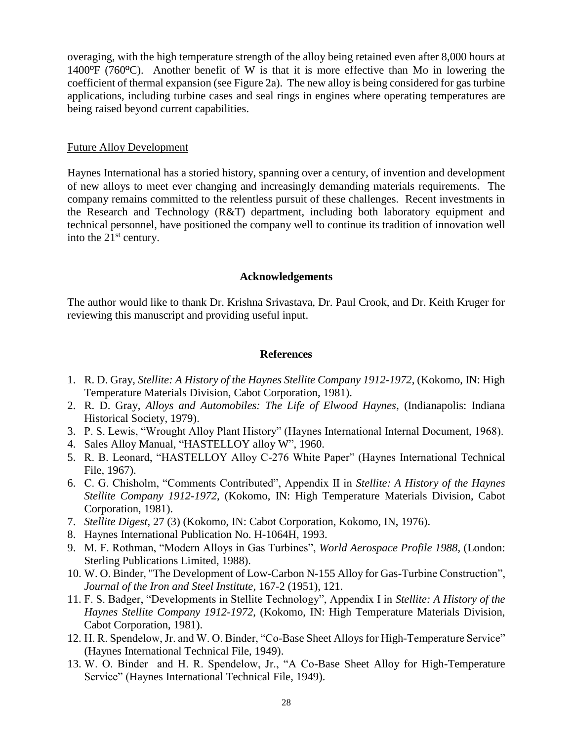overaging, with the high temperature strength of the alloy being retained even after 8,000 hours at 1400ºF (760ºC). Another benefit of W is that it is more effective than Mo in lowering the coefficient of thermal expansion (see Figure 2a). The new alloy is being considered for gas turbine applications, including turbine cases and seal rings in engines where operating temperatures are being raised beyond current capabilities.

#### Future Alloy Development

Haynes International has a storied history, spanning over a century, of invention and development of new alloys to meet ever changing and increasingly demanding materials requirements. The company remains committed to the relentless pursuit of these challenges. Recent investments in the Research and Technology (R&T) department, including both laboratory equipment and technical personnel, have positioned the company well to continue its tradition of innovation well into the  $21<sup>st</sup>$  century.

## **Acknowledgements**

The author would like to thank Dr. Krishna Srivastava, Dr. Paul Crook, and Dr. Keith Kruger for reviewing this manuscript and providing useful input.

## **References**

- 1. R. D. Gray, *Stellite: A History of the Haynes Stellite Company 1912-1972*, (Kokomo, IN: High Temperature Materials Division, Cabot Corporation, 1981).
- 2. R. D. Gray, *Alloys and Automobiles: The Life of Elwood Haynes*, (Indianapolis: Indiana Historical Society, 1979).
- 3. P. S. Lewis, "Wrought Alloy Plant History" (Haynes International Internal Document, 1968).
- 4. Sales Alloy Manual, "HASTELLOY alloy W", 1960.
- 5. R. B. Leonard, "HASTELLOY Alloy C-276 White Paper" (Haynes International Technical File, 1967).
- 6. C. G. Chisholm, "Comments Contributed", Appendix II in *Stellite: A History of the Haynes Stellite Company 1912-1972*, (Kokomo, IN: High Temperature Materials Division, Cabot Corporation, 1981).
- 7. *Stellite Digest*, 27 (3) (Kokomo, IN: Cabot Corporation, Kokomo, IN, 1976).
- 8. Haynes International Publication No. H-1064H, 1993.
- 9. M. F. Rothman, "Modern Alloys in Gas Turbines", *World Aerospace Profile 1988*, (London: Sterling Publications Limited, 1988).
- 10. W. O. Binder, "The Development of Low-Carbon N-155 Alloy for Gas-Turbine Construction", *Journal of the Iron and Steel Institute*, 167-2 (1951), 121.
- 11. F. S. Badger, "Developments in Stellite Technology", Appendix I in *Stellite: A History of the Haynes Stellite Company 1912-1972*, (Kokomo, IN: High Temperature Materials Division, Cabot Corporation, 1981).
- 12. H. R. Spendelow, Jr. and W. O. Binder, "Co-Base Sheet Alloys for High-Temperature Service" (Haynes International Technical File, 1949).
- 13. W. O. Binder and H. R. Spendelow, Jr., "A Co-Base Sheet Alloy for High-Temperature Service" (Haynes International Technical File, 1949).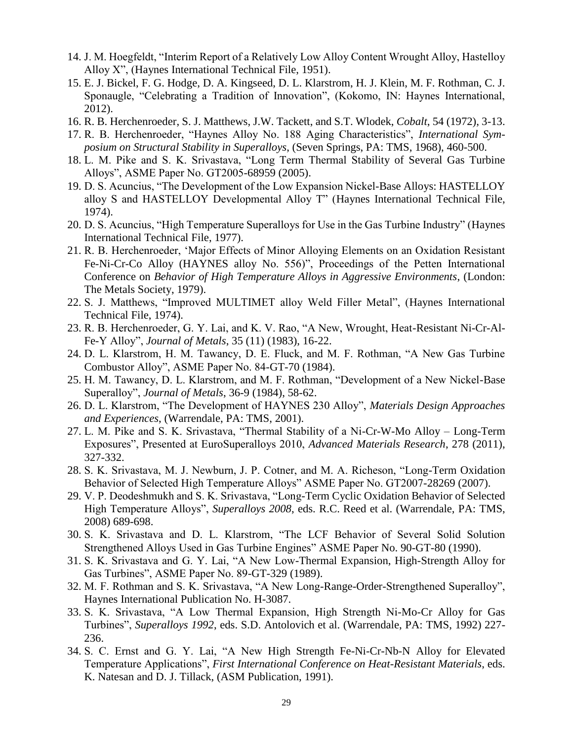- 14. J. M. Hoegfeldt, "Interim Report of a Relatively Low Alloy Content Wrought Alloy, Hastelloy Alloy X", (Haynes International Technical File, 1951).
- 15. E. J. Bickel, F. G. Hodge, D. A. Kingseed, D. L. Klarstrom, H. J. Klein, M. F. Rothman, C. J. Sponaugle, "Celebrating a Tradition of Innovation", (Kokomo, IN: Haynes International, 2012).
- 16. R. B. Herchenroeder, S. J. Matthews, J.W. Tackett, and S.T. Wlodek, *Cobalt*, 54 (1972), 3-13.
- 17. R. B. Herchenroeder, "Haynes Alloy No. 188 Aging Characteristics", *International Symposium on Structural Stability in Superalloys*, (Seven Springs, PA: TMS, 1968), 460-500.
- 18. L. M. Pike and S. K. Srivastava, "Long Term Thermal Stability of Several Gas Turbine Alloys", ASME Paper No. GT2005-68959 (2005).
- 19. D. S. Acuncius, "The Development of the Low Expansion Nickel-Base Alloys: HASTELLOY alloy S and HASTELLOY Developmental Alloy T" (Haynes International Technical File, 1974).
- 20. D. S. Acuncius, "High Temperature Superalloys for Use in the Gas Turbine Industry" (Haynes International Technical File, 1977).
- 21. R. B. Herchenroeder, 'Major Effects of Minor Alloying Elements on an Oxidation Resistant Fe-Ni-Cr-Co Alloy (HAYNES alloy No. 556)", Proceedings of the Petten International Conference on *Behavior of High Temperature Alloys in Aggressive Environments*, (London: The Metals Society, 1979).
- 22. S. J. Matthews, "Improved MULTIMET alloy Weld Filler Metal", (Haynes International Technical File, 1974).
- 23. R. B. Herchenroeder, G. Y. Lai, and K. V. Rao, "A New, Wrought, Heat-Resistant Ni-Cr-Al-Fe-Y Alloy", *Journal of Metals*, 35 (11) (1983), 16-22.
- 24. D. L. Klarstrom, H. M. Tawancy, D. E. Fluck, and M. F. Rothman, "A New Gas Turbine Combustor Alloy", ASME Paper No. 84-GT-70 (1984).
- 25. H. M. Tawancy, D. L. Klarstrom, and M. F. Rothman, "Development of a New Nickel-Base Superalloy", *Journal of Metals*, 36-9 (1984), 58-62.
- 26. D. L. Klarstrom, "The Development of HAYNES 230 Alloy", *Materials Design Approaches and Experiences*, (Warrendale, PA: TMS, 2001).
- 27. L. M. Pike and S. K. Srivastava, "Thermal Stability of a Ni-Cr-W-Mo Alloy Long-Term Exposures", Presented at EuroSuperalloys 2010, *Advanced Materials Research*, 278 (2011), 327-332.
- 28. S. K. Srivastava, M. J. Newburn, J. P. Cotner, and M. A. Richeson, "Long-Term Oxidation Behavior of Selected High Temperature Alloys" ASME Paper No. GT2007-28269 (2007).
- 29. V. P. Deodeshmukh and S. K. Srivastava, "Long-Term Cyclic Oxidation Behavior of Selected High Temperature Alloys", *Superalloys 2008*, eds. R.C. Reed et al. (Warrendale, PA: TMS, 2008) 689-698.
- 30. S. K. Srivastava and D. L. Klarstrom, "The LCF Behavior of Several Solid Solution Strengthened Alloys Used in Gas Turbine Engines" ASME Paper No. 90-GT-80 (1990).
- 31. S. K. Srivastava and G. Y. Lai, "A New Low-Thermal Expansion, High-Strength Alloy for Gas Turbines", ASME Paper No. 89-GT-329 (1989).
- 32. M. F. Rothman and S. K. Srivastava, "A New Long-Range-Order-Strengthened Superalloy", Haynes International Publication No. H-3087.
- 33. S. K. Srivastava, "A Low Thermal Expansion, High Strength Ni-Mo-Cr Alloy for Gas Turbines", *Superalloys 1992*, eds. S.D. Antolovich et al. (Warrendale, PA: TMS, 1992) 227- 236.
- 34. S. C. Ernst and G. Y. Lai, "A New High Strength Fe-Ni-Cr-Nb-N Alloy for Elevated Temperature Applications", *First International Conference on Heat-Resistant Materials*, eds. K. Natesan and D. J. Tillack, (ASM Publication, 1991).